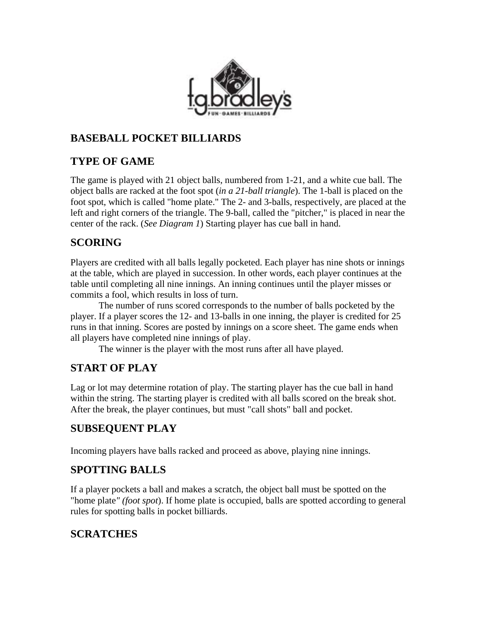

#### **BASEBALL POCKET BILLIARDS**

### **TYPE OF GAME**

The game is played with 21 object balls, numbered from 1-21, and a white cue ball. The object balls are racked at the foot spot (*in a 21-ball triangle*). The 1-ball is placed on the foot spot, which is called "home plate." The 2- and 3-balls, respectively, are placed at the left and right corners of the triangle. The 9-ball, called the "pitcher," is placed in near the center of the rack. (*See Diagram 1*) Starting player has cue ball in hand.

# **SCORING**

Players are credited with all balls legally pocketed. Each player has nine shots or innings at the table, which are played in succession. In other words, each player continues at the table until completing all nine innings. An inning continues until the player misses or commits a fool, which results in loss of turn.

The number of runs scored corresponds to the number of balls pocketed by the player. If a player scores the 12- and 13-balls in one inning, the player is credited for 25 runs in that inning. Scores are posted by innings on a score sheet. The game ends when all players have completed nine innings of play.

The winner is the player with the most runs after all have played.

# **START OF PLAY**

Lag or lot may determine rotation of play. The starting player has the cue ball in hand within the string. The starting player is credited with all balls scored on the break shot. After the break, the player continues, but must "call shots" ball and pocket.

# **SUBSEQUENT PLAY**

Incoming players have balls racked and proceed as above, playing nine innings.

# **SPOTTING BALLS**

If a player pockets a ball and makes a scratch, the object ball must be spotted on the "home plate*" (foot spot*). If home plate is occupied, balls are spotted according to general rules for spotting balls in pocket billiards.

# **SCRATCHES**